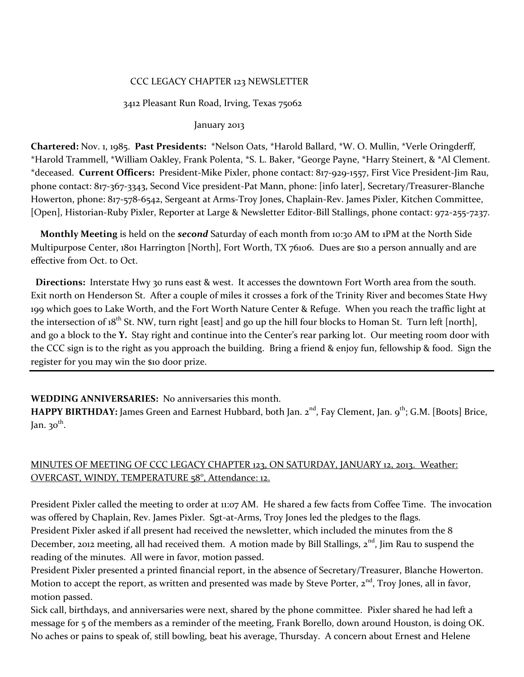## CCC LEGACY CHAPTER 123 NEWSLETTER

### 3412 Pleasant Run Road, Irving, Texas 75062

### January 2013

**Chartered:** Nov. 1, 1985. **Past Presidents:** \*Nelson Oats, \*Harold Ballard, \*W. O. Mullin, \*Verle Oringderff, \*Harold Trammell, \*William Oakley, Frank Polenta, \*S. L. Baker, \*George Payne, \*Harry Steinert, & \*Al Clement. \*deceased. **Current Officers:** President-Mike Pixler, phone contact: 817-929-1557, First Vice President-Jim Rau, phone contact: 817-367-3343, Second Vice president-Pat Mann, phone: [info later], Secretary/Treasurer-Blanche Howerton, phone: 817-578-6542, Sergeant at Arms-Troy Jones, Chaplain-Rev. James Pixler, Kitchen Committee, [Open], Historian-Ruby Pixler, Reporter at Large & Newsletter Editor-Bill Stallings, phone contact: 972-255-7237.

 **Monthly Meeting** is held on the *second* Saturday of each month from 10:30 AM to 1PM at the North Side Multipurpose Center, 1801 Harrington [North], Fort Worth, TX 76106. Dues are \$10 a person annually and are effective from Oct. to Oct.

 **Directions:** Interstate Hwy 30 runs east & west. It accesses the downtown Fort Worth area from the south. Exit north on Henderson St. After a couple of miles it crosses a fork of the Trinity River and becomes State Hwy 199 which goes to Lake Worth, and the Fort Worth Nature Center & Refuge. When you reach the traffic light at the intersection of  $18^{th}$  St. NW, turn right [east] and go up the hill four blocks to Homan St. Turn left [north], and go a block to the **Y.** Stay right and continue into the Center's rear parking lot. Our meeting room door with the CCC sign is to the right as you approach the building. Bring a friend & enjoy fun, fellowship & food. Sign the register for you may win the \$10 door prize.

# **WEDDING ANNIVERSARIES:** No anniversaries this month.

**HAPPY BIRTHDAY:** James Green and Earnest Hubbard, both Jan. 2<sup>nd</sup>, Fay Clement, Jan. 9<sup>th</sup>; G.M. [Boots] Brice, Jan. 30<sup>th</sup>.

# MINUTES OF MEETING OF CCC LEGACY CHAPTER 123, ON SATURDAY, JANUARY 12, 2013. Weather: OVERCAST, WINDY, TEMPERATURE 58°, Attendance: 12.

President Pixler called the meeting to order at 11:07 AM. He shared a few facts from Coffee Time. The invocation was offered by Chaplain, Rev. James Pixler. Sgt-at-Arms, Troy Jones led the pledges to the flags. President Pixler asked if all present had received the newsletter, which included the minutes from the 8 December, 2012 meeting, all had received them. A motion made by Bill Stallings,  $2<sup>nd</sup>$ , Jim Rau to suspend the reading of the minutes. All were in favor, motion passed.

President Pixler presented a printed financial report, in the absence of Secretary/Treasurer, Blanche Howerton. Motion to accept the report, as written and presented was made by Steve Porter,  $2<sup>nd</sup>$ , Troy Jones, all in favor, motion passed.

Sick call, birthdays, and anniversaries were next, shared by the phone committee. Pixler shared he had left a message for 5 of the members as a reminder of the meeting, Frank Borello, down around Houston, is doing OK. No aches or pains to speak of, still bowling, beat his average, Thursday. A concern about Ernest and Helene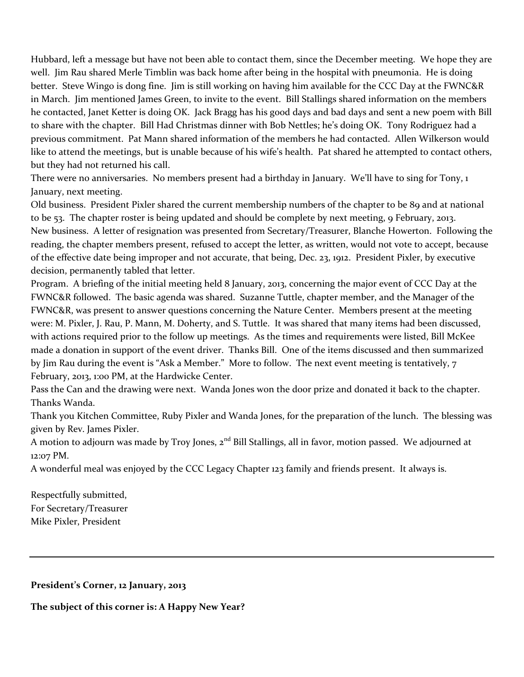Hubbard, left a message but have not been able to contact them, since the December meeting. We hope they are well. Jim Rau shared Merle Timblin was back home after being in the hospital with pneumonia. He is doing better. Steve Wingo is dong fine. Jim is still working on having him available for the CCC Day at the FWNC&R in March. Jim mentioned James Green, to invite to the event. Bill Stallings shared information on the members he contacted, Janet Ketter is doing OK. Jack Bragg has his good days and bad days and sent a new poem with Bill to share with the chapter. Bill Had Christmas dinner with Bob Nettles; he's doing OK. Tony Rodriguez had a previous commitment. Pat Mann shared information of the members he had contacted. Allen Wilkerson would like to attend the meetings, but is unable because of his wife's health. Pat shared he attempted to contact others, but they had not returned his call.

There were no anniversaries. No members present had a birthday in January. We'll have to sing for Tony, 1 January, next meeting.

Old business. President Pixler shared the current membership numbers of the chapter to be 89 and at national to be 53. The chapter roster is being updated and should be complete by next meeting, 9 February, 2013. New business. A letter of resignation was presented from Secretary/Treasurer, Blanche Howerton. Following the reading, the chapter members present, refused to accept the letter, as written, would not vote to accept, because of the effective date being improper and not accurate, that being, Dec. 23, 1912. President Pixler, by executive decision, permanently tabled that letter.

Program. A briefing of the initial meeting held 8 January, 2013, concerning the major event of CCC Day at the FWNC&R followed. The basic agenda was shared. Suzanne Tuttle, chapter member, and the Manager of the FWNC&R, was present to answer questions concerning the Nature Center. Members present at the meeting were: M. Pixler, J. Rau, P. Mann, M. Doherty, and S. Tuttle. It was shared that many items had been discussed, with actions required prior to the follow up meetings. As the times and requirements were listed, Bill McKee made a donation in support of the event driver. Thanks Bill. One of the items discussed and then summarized by Jim Rau during the event is "Ask a Member." More to follow. The next event meeting is tentatively, 7 February, 2013, 1:00 PM, at the Hardwicke Center.

Pass the Can and the drawing were next. Wanda Jones won the door prize and donated it back to the chapter. Thanks Wanda.

Thank you Kitchen Committee, Ruby Pixler and Wanda Jones, for the preparation of the lunch. The blessing was given by Rev. James Pixler.

A motion to adjourn was made by Troy Jones, 2<sup>nd</sup> Bill Stallings, all in favor, motion passed. We adjourned at 12:07 PM.

A wonderful meal was enjoyed by the CCC Legacy Chapter 123 family and friends present. It always is.

Respectfully submitted, For Secretary/Treasurer Mike Pixler, President

**President's Corner, 12 January, 2013**

**The subject of this corner is: A Happy New Year?**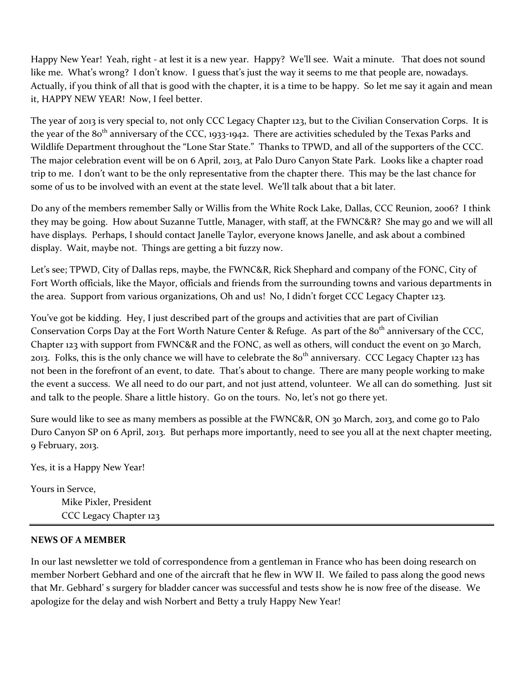Happy New Year! Yeah, right - at lest it is a new year. Happy? We'll see. Wait a minute. That does not sound like me. What's wrong? I don't know. I guess that's just the way it seems to me that people are, nowadays. Actually, if you think of all that is good with the chapter, it is a time to be happy. So let me say it again and mean it, HAPPY NEW YEAR! Now, I feel better.

The year of 2013 is very special to, not only CCC Legacy Chapter 123, but to the Civilian Conservation Corps. It is the year of the  $80<sup>th</sup>$  anniversary of the CCC, 1933-1942. There are activities scheduled by the Texas Parks and Wildlife Department throughout the "Lone Star State." Thanks to TPWD, and all of the supporters of the CCC. The major celebration event will be on 6 April, 2013, at Palo Duro Canyon State Park. Looks like a chapter road trip to me. I don't want to be the only representative from the chapter there. This may be the last chance for some of us to be involved with an event at the state level. We'll talk about that a bit later.

Do any of the members remember Sally or Willis from the White Rock Lake, Dallas, CCC Reunion, 2006? I think they may be going. How about Suzanne Tuttle, Manager, with staff, at the FWNC&R? She may go and we will all have displays. Perhaps, I should contact Janelle Taylor, everyone knows Janelle, and ask about a combined display. Wait, maybe not. Things are getting a bit fuzzy now.

Let's see; TPWD, City of Dallas reps, maybe, the FWNC&R, Rick Shephard and company of the FONC, City of Fort Worth officials, like the Mayor, officials and friends from the surrounding towns and various departments in the area. Support from various organizations, Oh and us! No, I didn't forget CCC Legacy Chapter 123.

You've got be kidding. Hey, I just described part of the groups and activities that are part of Civilian Conservation Corps Day at the Fort Worth Nature Center & Refuge. As part of the 80<sup>th</sup> anniversary of the CCC, Chapter 123 with support from FWNC&R and the FONC, as well as others, will conduct the event on 30 March, 2013. Folks, this is the only chance we will have to celebrate the  $80<sup>th</sup>$  anniversary. CCC Legacy Chapter 123 has not been in the forefront of an event, to date. That's about to change. There are many people working to make the event a success. We all need to do our part, and not just attend, volunteer. We all can do something. Just sit and talk to the people. Share a little history. Go on the tours. No, let's not go there yet.

Sure would like to see as many members as possible at the FWNC&R, ON 30 March, 2013, and come go to Palo Duro Canyon SP on 6 April, 2013. But perhaps more importantly, need to see you all at the next chapter meeting, 9 February, 2013.

Yes, it is a Happy New Year!

Yours in Servce, Mike Pixler, President CCC Legacy Chapter 123

## **NEWS OF A MEMBER**

In our last newsletter we told of correspondence from a gentleman in France who has been doing research on member Norbert Gebhard and one of the aircraft that he flew in WW II. We failed to pass along the good news that Mr. Gebhard' s surgery for bladder cancer was successful and tests show he is now free of the disease. We apologize for the delay and wish Norbert and Betty a truly Happy New Year!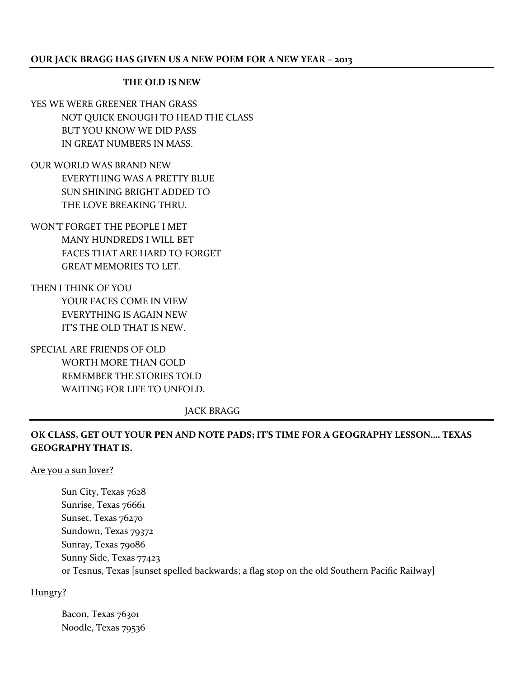### **THE OLD IS NEW**

YES WE WERE GREENER THAN GRASS NOT QUICK ENOUGH TO HEAD THE CLASS BUT YOU KNOW WE DID PASS IN GREAT NUMBERS IN MASS.

OUR WORLD WAS BRAND NEW EVERYTHING WAS A PRETTY BLUE SUN SHINING BRIGHT ADDED TO THE LOVE BREAKING THRU.

WON'T FORGET THE PEOPLE I MET MANY HUNDREDS I WILL BET FACES THAT ARE HARD TO FORGET GREAT MEMORIES TO LET.

THEN I THINK OF YOU YOUR FACES COME IN VIEW EVERYTHING IS AGAIN NEW IT'S THE OLD THAT IS NEW.

SPECIAL ARE FRIENDS OF OLD WORTH MORE THAN GOLD REMEMBER THE STORIES TOLD WAITING FOR LIFE TO UNFOLD.

JACK BRAGG

# **OK CLASS, GET OUT YOUR PEN AND NOTE PADS; IT'S TIME FOR A GEOGRAPHY LESSON…. TEXAS GEOGRAPHY THAT IS.**

### Are you a sun lover?

Sun City, Texas 7628 Sunrise, Texas 76661 Sunset, Texas 76270 Sundown, Texas 79372 Sunray, Texas 79086 Sunny Side, Texas 77423 or Tesnus, Texas [sunset spelled backwards; a flag stop on the old Southern Pacific Railway]

## Hungry?

Bacon, Texas 76301 Noodle, Texas 79536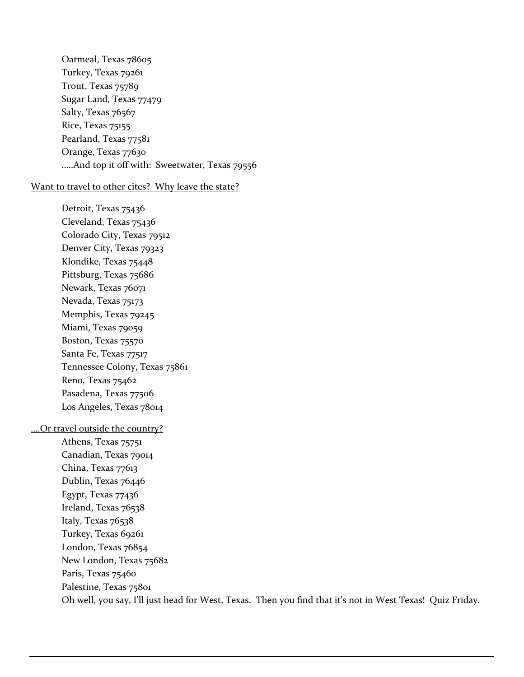Oatmeal, Texas 78605 Turkey, Texas 79261 Trout, Texas 75789 Sugar Land, Texas 77479 Salty, Texas 76567 Rice, Texas 75155 Pearland, Texas 77581 Orange, Texas 77630 …..And top it off with: Sweetwater, Texas 79556

#### Want to travel to other cites? Why leave the state?

Detroit, Texas 75436 Cleveland, Texas 75436 Colorado City, Texas 79512 Denver City, Texas 79323 Klondike, Texas 75448 Pittsburg, Texas 75686 Newark, Texas 76071 Nevada, Texas 75173 Memphis, Texas 79245 Miami, Texas 79059 Boston, Texas 75570 Santa Fe, Texas 77517 Tennessee Colony, Texas 75861 Reno, Texas 75462 Pasadena, Texas 77506 Los Angeles, Texas 78014

### ….Or travel outside the country?

Athens, Texas 75751 Canadian, Texas 79014 China, Texas 77613 Dublin, Texas 76446 Egypt, Texas 77436 Ireland, Texas 76538 Italy, Texas 76538 Turkey, Texas 69261 London, Texas 76854 New London, Texas 75682 Paris, Texas 75460 Palestine, Texas 75801 Oh well, you say, I'll just head for West, Texas. Then you find that it's not in West Texas! Quiz Friday.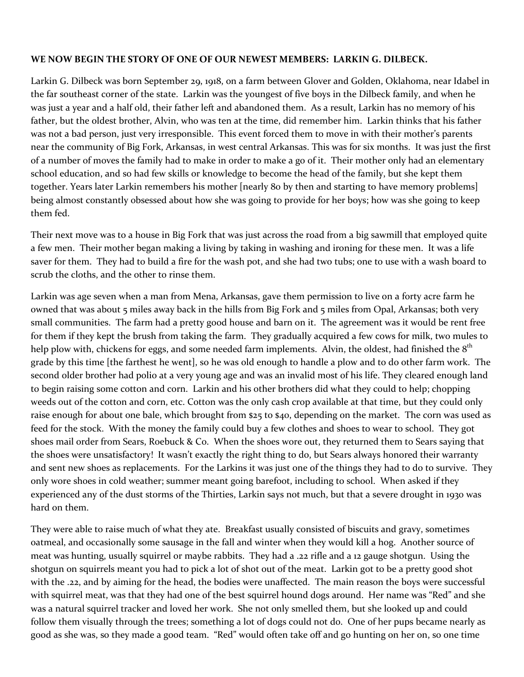## **WE NOW BEGIN THE STORY OF ONE OF OUR NEWEST MEMBERS: LARKIN G. DILBECK.**

Larkin G. Dilbeck was born September 29, 1918, on a farm between Glover and Golden, Oklahoma, near Idabel in the far southeast corner of the state. Larkin was the youngest of five boys in the Dilbeck family, and when he was just a year and a half old, their father left and abandoned them. As a result, Larkin has no memory of his father, but the oldest brother, Alvin, who was ten at the time, did remember him. Larkin thinks that his father was not a bad person, just very irresponsible. This event forced them to move in with their mother's parents near the community of Big Fork, Arkansas, in west central Arkansas. This was for six months. It was just the first of a number of moves the family had to make in order to make a go of it. Their mother only had an elementary school education, and so had few skills or knowledge to become the head of the family, but she kept them together. Years later Larkin remembers his mother [nearly 80 by then and starting to have memory problems] being almost constantly obsessed about how she was going to provide for her boys; how was she going to keep them fed.

Their next move was to a house in Big Fork that was just across the road from a big sawmill that employed quite a few men. Their mother began making a living by taking in washing and ironing for these men. It was a life saver for them. They had to build a fire for the wash pot, and she had two tubs; one to use with a wash board to scrub the cloths, and the other to rinse them.

Larkin was age seven when a man from Mena, Arkansas, gave them permission to live on a forty acre farm he owned that was about 5 miles away back in the hills from Big Fork and 5 miles from Opal, Arkansas; both very small communities. The farm had a pretty good house and barn on it. The agreement was it would be rent free for them if they kept the brush from taking the farm. They gradually acquired a few cows for milk, two mules to help plow with, chickens for eggs, and some needed farm implements. Alvin, the oldest, had finished the  $8<sup>th</sup>$ grade by this time [the farthest he went], so he was old enough to handle a plow and to do other farm work. The second older brother had polio at a very young age and was an invalid most of his life. They cleared enough land to begin raising some cotton and corn. Larkin and his other brothers did what they could to help; chopping weeds out of the cotton and corn, etc. Cotton was the only cash crop available at that time, but they could only raise enough for about one bale, which brought from \$25 to \$40, depending on the market. The corn was used as feed for the stock. With the money the family could buy a few clothes and shoes to wear to school. They got shoes mail order from Sears, Roebuck & Co. When the shoes wore out, they returned them to Sears saying that the shoes were unsatisfactory! It wasn't exactly the right thing to do, but Sears always honored their warranty and sent new shoes as replacements. For the Larkins it was just one of the things they had to do to survive. They only wore shoes in cold weather; summer meant going barefoot, including to school. When asked if they experienced any of the dust storms of the Thirties, Larkin says not much, but that a severe drought in 1930 was hard on them.

They were able to raise much of what they ate. Breakfast usually consisted of biscuits and gravy, sometimes oatmeal, and occasionally some sausage in the fall and winter when they would kill a hog. Another source of meat was hunting, usually squirrel or maybe rabbits. They had a .22 rifle and a 12 gauge shotgun. Using the shotgun on squirrels meant you had to pick a lot of shot out of the meat. Larkin got to be a pretty good shot with the .22, and by aiming for the head, the bodies were unaffected. The main reason the boys were successful with squirrel meat, was that they had one of the best squirrel hound dogs around. Her name was "Red" and she was a natural squirrel tracker and loved her work. She not only smelled them, but she looked up and could follow them visually through the trees; something a lot of dogs could not do. One of her pups became nearly as good as she was, so they made a good team. "Red" would often take off and go hunting on her on, so one time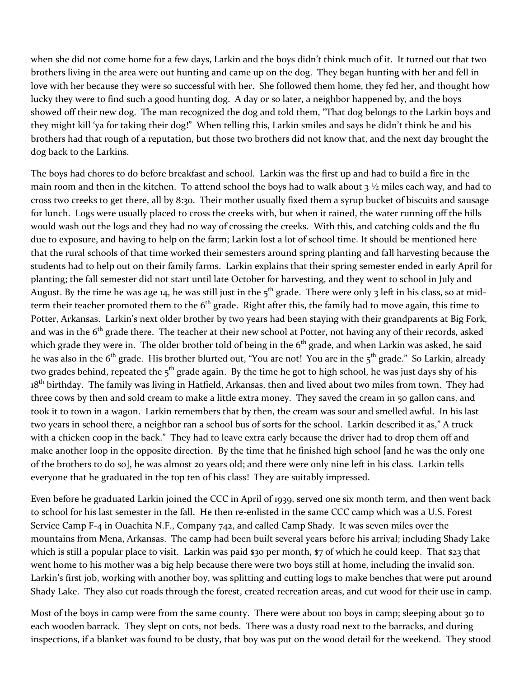when she did not come home for a few days, Larkin and the boys didn't think much of it. It turned out that two brothers living in the area were out hunting and came up on the dog. They began hunting with her and fell in love with her because they were so successful with her. She followed them home, they fed her, and thought how lucky they were to find such a good hunting dog. A day or so later, a neighbor happened by, and the boys showed off their new dog. The man recognized the dog and told them, "That dog belongs to the Larkin boys and they might kill 'ya for taking their dog!" When telling this, Larkin smiles and says he didn't think he and his brothers had that rough of a reputation, but those two brothers did not know that, and the next day brought the dog back to the Larkins.

The boys had chores to do before breakfast and school. Larkin was the first up and had to build a fire in the main room and then in the kitchen. To attend school the boys had to walk about  $3\frac{1}{2}$  miles each way, and had to cross two creeks to get there, all by 8:30. Their mother usually fixed them a syrup bucket of biscuits and sausage for lunch. Logs were usually placed to cross the creeks with, but when it rained, the water running off the hills would wash out the logs and they had no way of crossing the creeks. With this, and catching colds and the flu due to exposure, and having to help on the farm; Larkin lost a lot of school time. It should be mentioned here that the rural schools of that time worked their semesters around spring planting and fall harvesting because the students had to help out on their family farms. Larkin explains that their spring semester ended in early April for planting; the fall semester did not start until late October for harvesting, and they went to school in July and August. By the time he was age 14, he was still just in the  $5^{th}$  grade. There were only 3 left in his class, so at midterm their teacher promoted them to the  $6<sup>th</sup>$  grade. Right after this, the family had to move again, this time to Potter, Arkansas. Larkin's next older brother by two years had been staying with their grandparents at Big Fork, and was in the  $6<sup>th</sup>$  grade there. The teacher at their new school at Potter, not having any of their records, asked which grade they were in. The older brother told of being in the  $6<sup>th</sup>$  grade, and when Larkin was asked, he said he was also in the  $6<sup>th</sup>$  grade. His brother blurted out, "You are not! You are in the  $5<sup>th</sup>$  grade." So Larkin, already two grades behind, repeated the  $5<sup>th</sup>$  grade again. By the time he got to high school, he was just days shy of his 18<sup>th</sup> birthday. The family was living in Hatfield, Arkansas, then and lived about two miles from town. They had three cows by then and sold cream to make a little extra money. They saved the cream in 50 gallon cans, and took it to town in a wagon. Larkin remembers that by then, the cream was sour and smelled awful. In his last two years in school there, a neighbor ran a school bus of sorts for the school. Larkin described it as," A truck with a chicken coop in the back." They had to leave extra early because the driver had to drop them off and make another loop in the opposite direction. By the time that he finished high school [and he was the only one of the brothers to do so], he was almost 20 years old; and there were only nine left in his class. Larkin tells everyone that he graduated in the top ten of his class! They are suitably impressed.

Even before he graduated Larkin joined the CCC in April of 1939, served one six month term, and then went back to school for his last semester in the fall. He then re-enlisted in the same CCC camp which was a U.S. Forest Service Camp F-4 in Ouachita N.F., Company 742, and called Camp Shady. It was seven miles over the mountains from Mena, Arkansas. The camp had been built several years before his arrival; including Shady Lake which is still a popular place to visit. Larkin was paid \$30 per month, \$7 of which he could keep. That \$23 that went home to his mother was a big help because there were two boys still at home, including the invalid son. Larkin's first job, working with another boy, was splitting and cutting logs to make benches that were put around Shady Lake. They also cut roads through the forest, created recreation areas, and cut wood for their use in camp.

Most of the boys in camp were from the same county. There were about 100 boys in camp; sleeping about 30 to each wooden barrack. They slept on cots, not beds. There was a dusty road next to the barracks, and during inspections, if a blanket was found to be dusty, that boy was put on the wood detail for the weekend. They stood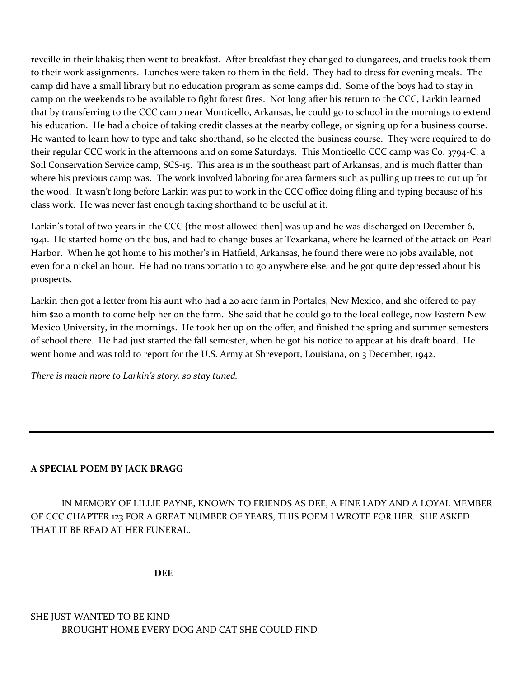reveille in their khakis; then went to breakfast. After breakfast they changed to dungarees, and trucks took them to their work assignments. Lunches were taken to them in the field. They had to dress for evening meals. The camp did have a small library but no education program as some camps did. Some of the boys had to stay in camp on the weekends to be available to fight forest fires. Not long after his return to the CCC, Larkin learned that by transferring to the CCC camp near Monticello, Arkansas, he could go to school in the mornings to extend his education. He had a choice of taking credit classes at the nearby college, or signing up for a business course. He wanted to learn how to type and take shorthand, so he elected the business course. They were required to do their regular CCC work in the afternoons and on some Saturdays. This Monticello CCC camp was Co. 3794-C, a Soil Conservation Service camp, SCS-15. This area is in the southeast part of Arkansas, and is much flatter than where his previous camp was. The work involved laboring for area farmers such as pulling up trees to cut up for the wood. It wasn't long before Larkin was put to work in the CCC office doing filing and typing because of his class work. He was never fast enough taking shorthand to be useful at it.

Larkin's total of two years in the CCC {the most allowed then] was up and he was discharged on December 6, 1941. He started home on the bus, and had to change buses at Texarkana, where he learned of the attack on Pearl Harbor. When he got home to his mother's in Hatfield, Arkansas, he found there were no jobs available, not even for a nickel an hour. He had no transportation to go anywhere else, and he got quite depressed about his prospects.

Larkin then got a letter from his aunt who had a 20 acre farm in Portales, New Mexico, and she offered to pay him \$20 a month to come help her on the farm. She said that he could go to the local college, now Eastern New Mexico University, in the mornings. He took her up on the offer, and finished the spring and summer semesters of school there. He had just started the fall semester, when he got his notice to appear at his draft board. He went home and was told to report for the U.S. Army at Shreveport, Louisiana, on 3 December, 1942.

*There is much more to Larkin's story, so stay tuned.*

# **A SPECIAL POEM BY JACK BRAGG**

IN MEMORY OF LILLIE PAYNE, KNOWN TO FRIENDS AS DEE, A FINE LADY AND A LOYAL MEMBER OF CCC CHAPTER 123 FOR A GREAT NUMBER OF YEARS, THIS POEM I WROTE FOR HER. SHE ASKED THAT IT BE READ AT HER FUNERAL.

**DEE**

SHE JUST WANTED TO BE KIND BROUGHT HOME EVERY DOG AND CAT SHE COULD FIND